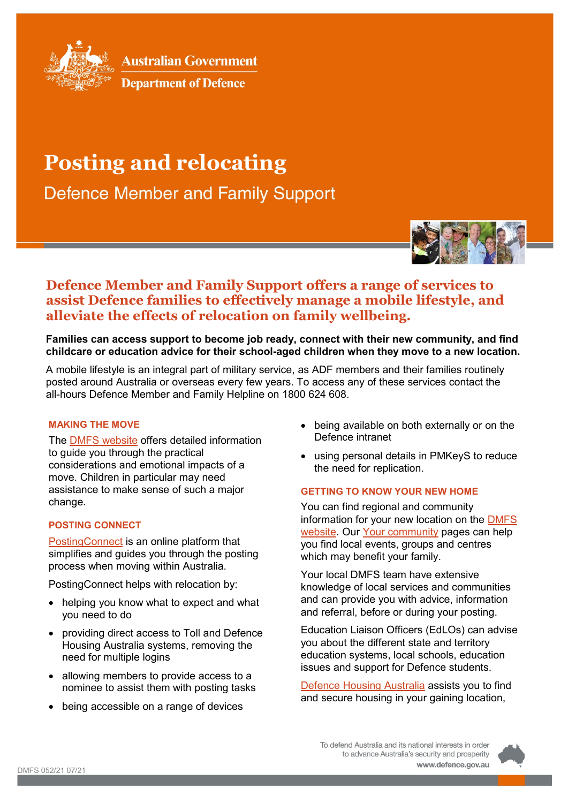

**Australian Government** 



# **Posting and relocating**

**Defence Member and Family Support** 



# **Defence Member and Family Support offers a range of services to assist Defence families to effectively manage a mobile lifestyle, and alleviate the effects of relocation on family wellbeing.**

**Families can access support to become job ready, connect with their new community, and find childcare or education advice for their school-aged children when they move to a new location.**

A mobile lifestyle is an integral part of military service, as ADF members and their families routinely posted around Australia or overseas every few years. To access any of these services contact the all-hours Defence Member and Family Helpline on 1800 624 608.

#### **MAKING THE MOVE**

The DMFS [website](https://www.defence.gov.au/members-families/military-life/moving-relocation/default.asp) offers detailed information to guide you through the practical considerations and emotional impacts of a move. Children in particular may need assistance to make sense of such a major change.

# **POSTING CONNECT**

[PostingConnect](https://ext.defence.gov.au/PostingConnect) is an online platform that simplifies and guides you through the posting process when moving within Australia.

PostingConnect helps with relocation by:

- helping you know what to expect and what you need to do
- providing direct access to Toll and Defence Housing Australia systems, removing the need for multiple logins
- allowing members to provide access to a nominee to assist them with posting tasks
- being accessible on a range of devices
- being available on both externally or on the Defence intranet
- using personal details in PMKeyS to reduce the need for replication.

#### **GETTING TO KNOW YOUR NEW HOME**

You can find regional and community information for your new location on the [DMFS](https://www.defence.gov.au/members-families) [website.](https://www.defence.gov.au/members-families) Our [Your community](https://www.defence.gov.au/members-families/Community/Default.asp) pages can help you find local events, groups and centres which may benefit your family.

Your local DMFS team have extensive knowledge of local services and communities and can provide you with advice, information and referral, before or during your posting.

Education Liaison Officers (EdLOs) can advise you about the different state and territory education systems, local schools, education issues and support for Defence students.

[Defence Housing Australia](https://dha.gov.au/) assists you to find and secure housing in your gaining location,